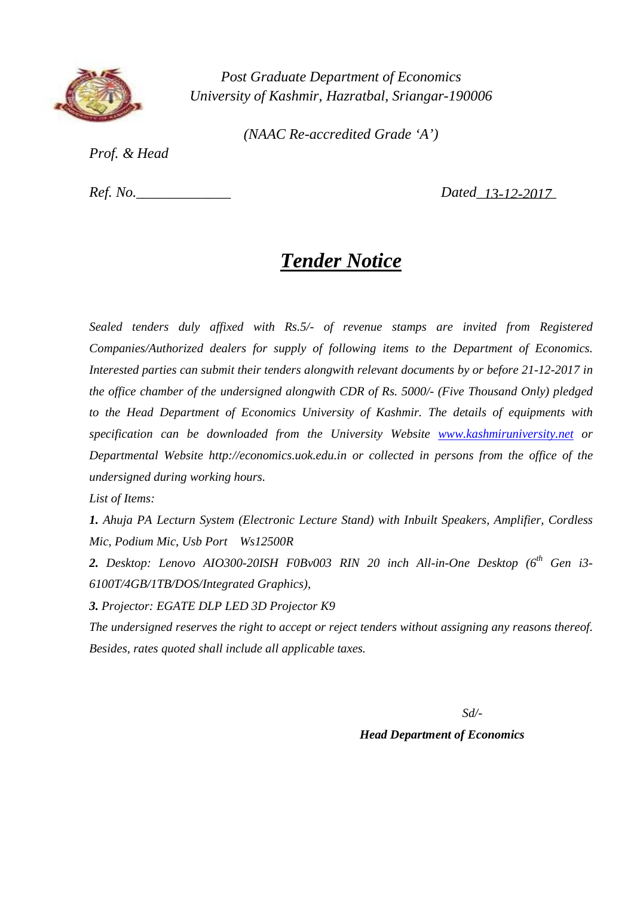

*(NAAC Re-accredited Grade 'A')*

*Prof. & Head*

*Ref. No.* 

 *13-12-2017*

# *Tender Notice*

*Sealed tenders duly affixed with Rs.5/- of revenue stamps are invited from Registered Companies/Authorized dealers for supply of following items to the Department of Economics. Interested parties can submit their tenders alongwith relevant documents by or before 21-12-2017 in the office chamber of the undersigned alongwith CDR of Rs. 5000/- (Five Thousand Only) pledged to the Head Department of Economics University of Kashmir. The details of equipments with specification can be downloaded from the University Website www.kashmiruniversity.net or Departmental Website http://economics.uok.edu.in or collected in persons from the office of the undersigned during working hours.*

*List of Items:*

*1. Ahuja PA Lecturn System (Electronic Lecture Stand) with Inbuilt Speakers, Amplifier, Cordless Mic, Podium Mic, Usb Port Ws12500R*

*2. Desktop: Lenovo AIO300-20ISH F0Bv003 RIN 20 inch All-in-One Desktop (6th Gen i3- 6100T/4GB/1TB/DOS/Integrated Graphics),* 

*3. Projector: EGATE DLP LED 3D Projector K9*

*The undersigned reserves the right to accept or reject tenders without assigning any reasons thereof. Besides, rates quoted shall include all applicable taxes.*

*Sd/-*

 *Head Department of Economics*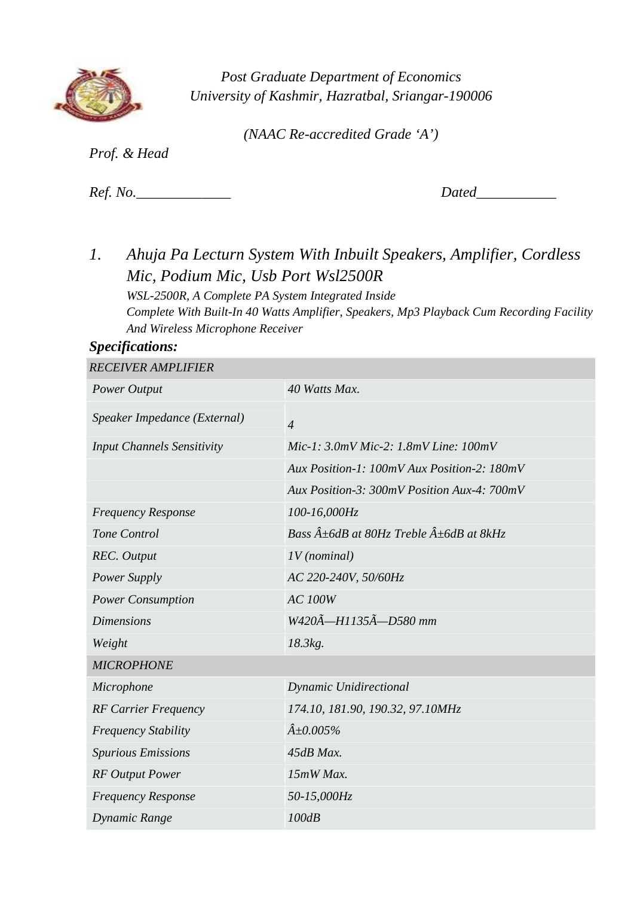

*(NAAC Re-accredited Grade 'A')*

*Prof. & Head*

*Ref. No. Dated* 

*1. Ahuja Pa Lecturn System With Inbuilt Speakers, Amplifier, Cordless Mic, Podium Mic, Usb Port Wsl2500R WSL-2500R, A Complete PA System Integrated Inside Complete With Built-In 40 Watts Amplifier, Speakers, Mp3 Playback Cum Recording Facility And Wireless Microphone Receiver*

#### *Specifications: RECEIVER AMPLIFIER*

| <i>RECEIVER AMPLIFIER</i>         |                                                                 |
|-----------------------------------|-----------------------------------------------------------------|
| Power Output                      | 40 Watts Max.                                                   |
| Speaker Impedance (External)      | $\overline{4}$                                                  |
| <b>Input Channels Sensitivity</b> | Mic-1: $3.0mV$ Mic-2: $1.8mV$ Line: $100mV$                     |
|                                   | Aux Position-1: 100mV Aux Position-2: 180mV                     |
|                                   | Aux Position-3: 300mV Position Aux-4: 700mV                     |
| <b>Frequency Response</b>         | 100-16,000Hz                                                    |
| Tone Control                      | Bass $\hat{A} \pm 6dB$ at 80Hz Treble $\hat{A} \pm 6dB$ at 8kHz |
| <b>REC.</b> Output                | $IV$ (nominal)                                                  |
| <b>Power Supply</b>               | AC 220-240V, 50/60Hz                                            |
| <b>Power Consumption</b>          | <b>AC 100W</b>                                                  |
| <b>Dimensions</b>                 | W420A-H1135A-D580 mm                                            |
| Weight                            | 18.3kg.                                                         |
| <b>MICROPHONE</b>                 |                                                                 |
| Microphone                        | Dynamic Unidirectional                                          |
| <b>RF Carrier Frequency</b>       | 174.10, 181.90, 190.32, 97.10MHz                                |
| <b>Frequency Stability</b>        | $\hat{A} \pm 0.005\%$                                           |
| <b>Spurious Emissions</b>         | 45dB Max.                                                       |
| <b>RF</b> Output Power            | 15mW Max.                                                       |
| <b>Frequency Response</b>         | 50-15,000Hz                                                     |
| Dynamic Range                     | 100dB                                                           |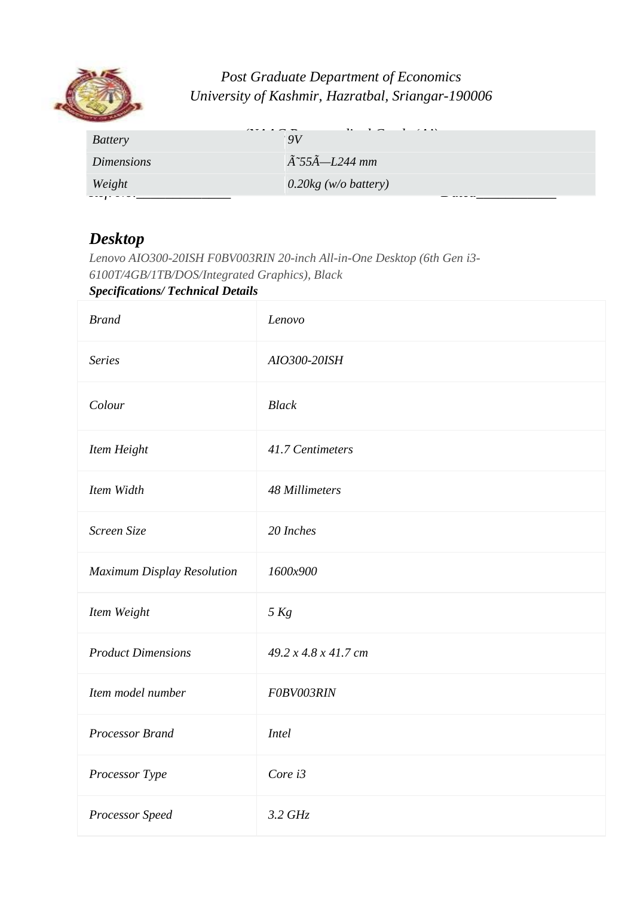

| <b>Battery</b>    | .<br>QV                              |
|-------------------|--------------------------------------|
| <i>Dimensions</i> | $\tilde{A}$ ~55 $\tilde{A}$ —L244 mm |
| Weight            | $0.20$ kg (w/o battery)              |
|                   |                                      |

## *Desktop*

*Lenovo AIO300-20ISH F0BV003RIN 20-inch All-in-One Desktop (6th Gen i3- 6100T/4GB/1TB/DOS/Integrated Graphics), Black*

### *Specifications/ Technical Details*

| <b>Brand</b>               | Lenovo               |
|----------------------------|----------------------|
| <b>Series</b>              | AIO300-20ISH         |
| Colour                     | <b>Black</b>         |
| Item Height                | 41.7 Centimeters     |
| Item Width                 | 48 Millimeters       |
| Screen Size                | 20 Inches            |
| Maximum Display Resolution | 1600x900             |
| Item Weight                | 5 Kg                 |
| <b>Product Dimensions</b>  | 49.2 x 4.8 x 41.7 cm |
| Item model number          | F0BV003RIN           |
| Processor Brand            | <b>Intel</b>         |
| Processor Type             | Core i3              |
| Processor Speed            | $3.2$ GHz            |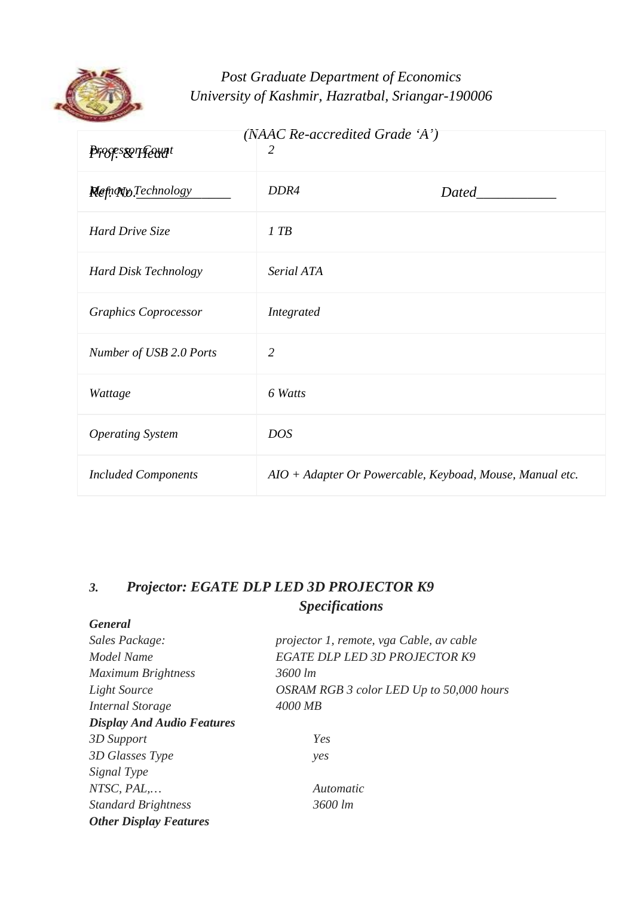

| $(NAAC$ Re-accredited Grade 'A') |                                                          |              |
|----------------------------------|----------------------------------------------------------|--------------|
| <i><b>Prosesserfeunt</b></i>     | 2                                                        |              |
| <b>Refugion Technology</b>       | DDR4                                                     | <b>Dated</b> |
| Hard Drive Size                  | $1$ TB                                                   |              |
| <b>Hard Disk Technology</b>      | Serial ATA                                               |              |
| <b>Graphics Coprocessor</b>      | Integrated                                               |              |
| Number of USB 2.0 Ports          | $\overline{2}$                                           |              |
| Wattage                          | 6 Watts                                                  |              |
| <b>Operating System</b>          | <b>DOS</b>                                               |              |
| <b>Included Components</b>       | AIO + Adapter Or Powercable, Keyboad, Mouse, Manual etc. |              |

## *3. Projector: EGATE DLP LED 3D PROJECTOR K9 Specifications*

| <b>General</b>                    |                                          |
|-----------------------------------|------------------------------------------|
| Sales Package:                    | projector 1, remote, vga Cable, av cable |
| Model Name                        | <b>EGATE DLP LED 3D PROJECTOR K9</b>     |
| <b>Maximum Brightness</b>         | 3600 lm                                  |
| Light Source                      | OSRAM RGB 3 color LED Up to 50,000 hours |
| Internal Storage                  | 4000 MB                                  |
| <b>Display And Audio Features</b> |                                          |
| 3D Support                        | Yes                                      |
| 3D Glasses Type                   | yes                                      |
| Signal Type                       |                                          |
| $NTSC, PAL, \ldots$               | Automatic                                |
| <b>Standard Brightness</b>        | 3600 lm                                  |
| <b>Other Display Features</b>     |                                          |